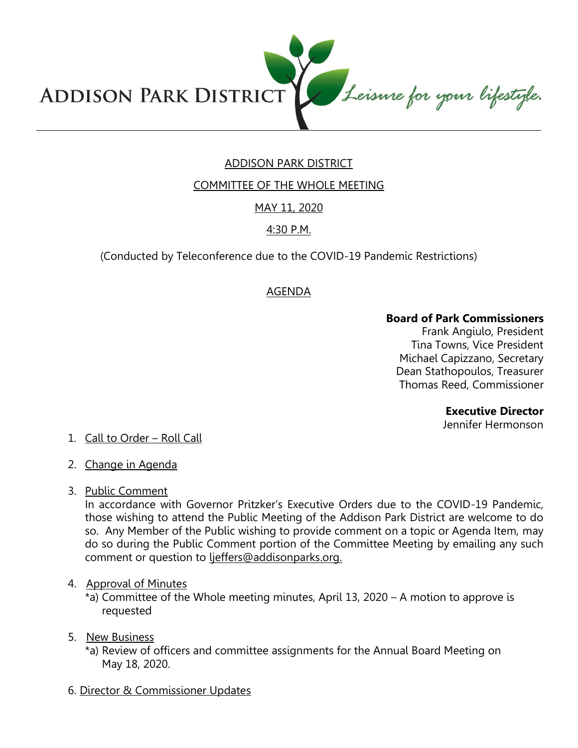Leisure for your lifestyle. **ADDISON PARK DISTRICT** 

# ADDISON PARK DISTRICT

COMMITTEE OF THE WHOLE MEETING

## MAY 11, 2020

### 4:30 P.M.

(Conducted by Teleconference due to the COVID-19 Pandemic Restrictions)

### AGENDA

#### **Board of Park Commissioners**

Frank Angiulo, President Tina Towns, Vice President Michael Capizzano, Secretary Dean Stathopoulos, Treasurer Thomas Reed, Commissioner

#### **Executive Director**

Jennifer Hermonson

## 1. Call to Order – Roll Call

- 2. Change in Agenda
- 3. Public Comment

In accordance with Governor Pritzker's Executive Orders due to the COVID-19 Pandemic, those wishing to attend the Public Meeting of the Addison Park District are welcome to do so. Any Member of the Public wishing to provide comment on a topic or Agenda Item, may do so during the Public Comment portion of the Committee Meeting by emailing any such comment or question to ljeffers@addisonparks.org.

### 4. Approval of Minutes

\*a) Committee of the Whole meeting minutes, April 13, 2020 – A motion to approve is requested

### 5. New Business

- \*a) Review of officers and committee assignments for the Annual Board Meeting on May 18, 2020.
- 6. Director & Commissioner Updates